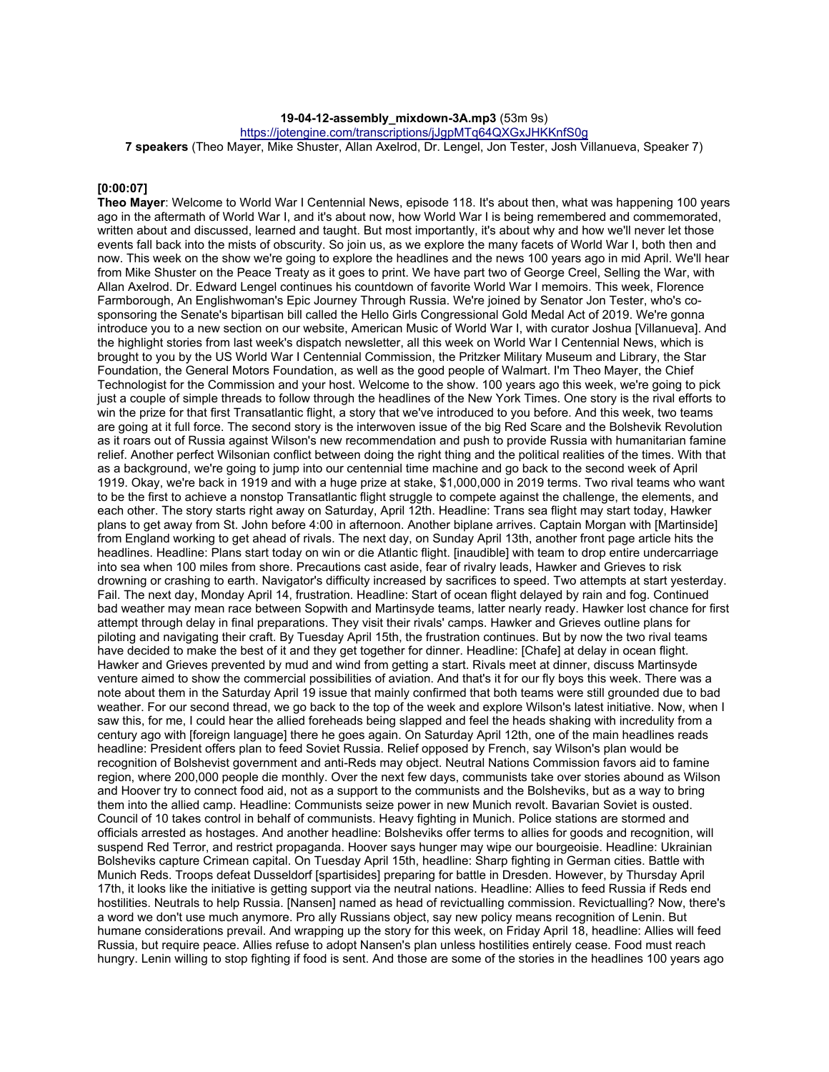### **19-04-12-assembly\_mixdown-3A.mp3** (53m 9s)

https://jotengine.com/transcriptions/jJgpMTq64QXGxJHKKnfS0g

**7 speakers** (Theo Mayer, Mike Shuster, Allan Axelrod, Dr. Lengel, Jon Tester, Josh Villanueva, Speaker 7)

# **[0:00:07]**

**Theo Mayer**: Welcome to World War I Centennial News, episode 118. It's about then, what was happening 100 years ago in the aftermath of World War I, and it's about now, how World War I is being remembered and commemorated, written about and discussed, learned and taught. But most importantly, it's about why and how we'll never let those events fall back into the mists of obscurity. So join us, as we explore the many facets of World War I, both then and now. This week on the show we're going to explore the headlines and the news 100 years ago in mid April. We'll hear from Mike Shuster on the Peace Treaty as it goes to print. We have part two of George Creel, Selling the War, with Allan Axelrod. Dr. Edward Lengel continues his countdown of favorite World War I memoirs. This week, Florence Farmborough, An Englishwoman's Epic Journey Through Russia. We're joined by Senator Jon Tester, who's cosponsoring the Senate's bipartisan bill called the Hello Girls Congressional Gold Medal Act of 2019. We're gonna introduce you to a new section on our website, American Music of World War I, with curator Joshua [Villanueva]. And the highlight stories from last week's dispatch newsletter, all this week on World War I Centennial News, which is brought to you by the US World War I Centennial Commission, the Pritzker Military Museum and Library, the Star Foundation, the General Motors Foundation, as well as the good people of Walmart. I'm Theo Mayer, the Chief Technologist for the Commission and your host. Welcome to the show. 100 years ago this week, we're going to pick just a couple of simple threads to follow through the headlines of the New York Times. One story is the rival efforts to win the prize for that first Transatlantic flight, a story that we've introduced to you before. And this week, two teams are going at it full force. The second story is the interwoven issue of the big Red Scare and the Bolshevik Revolution as it roars out of Russia against Wilson's new recommendation and push to provide Russia with humanitarian famine relief. Another perfect Wilsonian conflict between doing the right thing and the political realities of the times. With that as a background, we're going to jump into our centennial time machine and go back to the second week of April 1919. Okay, we're back in 1919 and with a huge prize at stake, \$1,000,000 in 2019 terms. Two rival teams who want to be the first to achieve a nonstop Transatlantic flight struggle to compete against the challenge, the elements, and each other. The story starts right away on Saturday, April 12th. Headline: Trans sea flight may start today, Hawker plans to get away from St. John before 4:00 in afternoon. Another biplane arrives. Captain Morgan with [Martinside] from England working to get ahead of rivals. The next day, on Sunday April 13th, another front page article hits the headlines. Headline: Plans start today on win or die Atlantic flight. [inaudible] with team to drop entire undercarriage into sea when 100 miles from shore. Precautions cast aside, fear of rivalry leads, Hawker and Grieves to risk drowning or crashing to earth. Navigator's difficulty increased by sacrifices to speed. Two attempts at start yesterday. Fail. The next day, Monday April 14, frustration. Headline: Start of ocean flight delayed by rain and fog. Continued bad weather may mean race between Sopwith and Martinsyde teams, latter nearly ready. Hawker lost chance for first attempt through delay in final preparations. They visit their rivals' camps. Hawker and Grieves outline plans for piloting and navigating their craft. By Tuesday April 15th, the frustration continues. But by now the two rival teams have decided to make the best of it and they get together for dinner. Headline: [Chafe] at delay in ocean flight. Hawker and Grieves prevented by mud and wind from getting a start. Rivals meet at dinner, discuss Martinsyde venture aimed to show the commercial possibilities of aviation. And that's it for our fly boys this week. There was a note about them in the Saturday April 19 issue that mainly confirmed that both teams were still grounded due to bad weather. For our second thread, we go back to the top of the week and explore Wilson's latest initiative. Now, when I saw this, for me, I could hear the allied foreheads being slapped and feel the heads shaking with incredulity from a century ago with [foreign language] there he goes again. On Saturday April 12th, one of the main headlines reads headline: President offers plan to feed Soviet Russia. Relief opposed by French, say Wilson's plan would be recognition of Bolshevist government and anti-Reds may object. Neutral Nations Commission favors aid to famine region, where 200,000 people die monthly. Over the next few days, communists take over stories abound as Wilson and Hoover try to connect food aid, not as a support to the communists and the Bolsheviks, but as a way to bring them into the allied camp. Headline: Communists seize power in new Munich revolt. Bavarian Soviet is ousted. Council of 10 takes control in behalf of communists. Heavy fighting in Munich. Police stations are stormed and officials arrested as hostages. And another headline: Bolsheviks offer terms to allies for goods and recognition, will suspend Red Terror, and restrict propaganda. Hoover says hunger may wipe our bourgeoisie. Headline: Ukrainian Bolsheviks capture Crimean capital. On Tuesday April 15th, headline: Sharp fighting in German cities. Battle with Munich Reds. Troops defeat Dusseldorf [spartisides] preparing for battle in Dresden. However, by Thursday April 17th, it looks like the initiative is getting support via the neutral nations. Headline: Allies to feed Russia if Reds end hostilities. Neutrals to help Russia. [Nansen] named as head of revictualling commission. Revictualling? Now, there's a word we don't use much anymore. Pro ally Russians object, say new policy means recognition of Lenin. But humane considerations prevail. And wrapping up the story for this week, on Friday April 18, headline: Allies will feed Russia, but require peace. Allies refuse to adopt Nansen's plan unless hostilities entirely cease. Food must reach hungry. Lenin willing to stop fighting if food is sent. And those are some of the stories in the headlines 100 years ago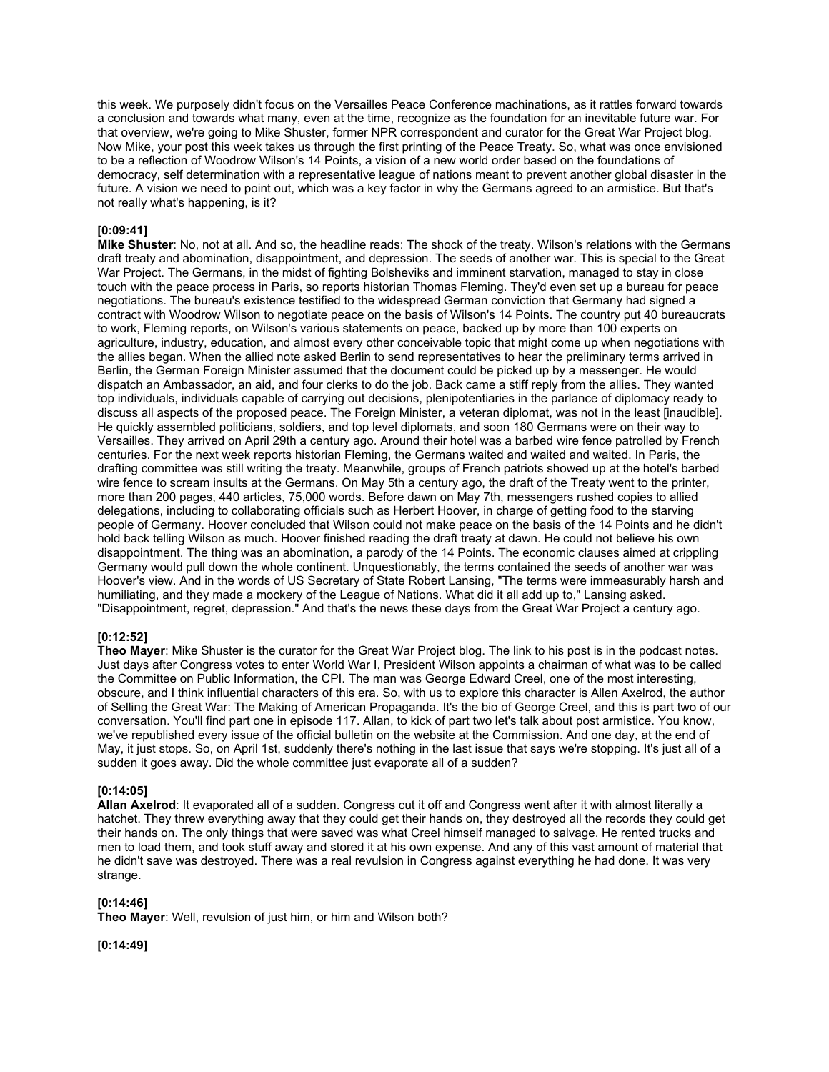this week. We purposely didn't focus on the Versailles Peace Conference machinations, as it rattles forward towards a conclusion and towards what many, even at the time, recognize as the foundation for an inevitable future war. For that overview, we're going to Mike Shuster, former NPR correspondent and curator for the Great War Project blog. Now Mike, your post this week takes us through the first printing of the Peace Treaty. So, what was once envisioned to be a reflection of Woodrow Wilson's 14 Points, a vision of a new world order based on the foundations of democracy, self determination with a representative league of nations meant to prevent another global disaster in the future. A vision we need to point out, which was a key factor in why the Germans agreed to an armistice. But that's not really what's happening, is it?

# **[0:09:41]**

**Mike Shuster**: No, not at all. And so, the headline reads: The shock of the treaty. Wilson's relations with the Germans draft treaty and abomination, disappointment, and depression. The seeds of another war. This is special to the Great War Project. The Germans, in the midst of fighting Bolsheviks and imminent starvation, managed to stay in close touch with the peace process in Paris, so reports historian Thomas Fleming. They'd even set up a bureau for peace negotiations. The bureau's existence testified to the widespread German conviction that Germany had signed a contract with Woodrow Wilson to negotiate peace on the basis of Wilson's 14 Points. The country put 40 bureaucrats to work, Fleming reports, on Wilson's various statements on peace, backed up by more than 100 experts on agriculture, industry, education, and almost every other conceivable topic that might come up when negotiations with the allies began. When the allied note asked Berlin to send representatives to hear the preliminary terms arrived in Berlin, the German Foreign Minister assumed that the document could be picked up by a messenger. He would dispatch an Ambassador, an aid, and four clerks to do the job. Back came a stiff reply from the allies. They wanted top individuals, individuals capable of carrying out decisions, plenipotentiaries in the parlance of diplomacy ready to discuss all aspects of the proposed peace. The Foreign Minister, a veteran diplomat, was not in the least [inaudible]. He quickly assembled politicians, soldiers, and top level diplomats, and soon 180 Germans were on their way to Versailles. They arrived on April 29th a century ago. Around their hotel was a barbed wire fence patrolled by French centuries. For the next week reports historian Fleming, the Germans waited and waited and waited. In Paris, the drafting committee was still writing the treaty. Meanwhile, groups of French patriots showed up at the hotel's barbed wire fence to scream insults at the Germans. On May 5th a century ago, the draft of the Treaty went to the printer, more than 200 pages, 440 articles, 75,000 words. Before dawn on May 7th, messengers rushed copies to allied delegations, including to collaborating officials such as Herbert Hoover, in charge of getting food to the starving people of Germany. Hoover concluded that Wilson could not make peace on the basis of the 14 Points and he didn't hold back telling Wilson as much. Hoover finished reading the draft treaty at dawn. He could not believe his own disappointment. The thing was an abomination, a parody of the 14 Points. The economic clauses aimed at crippling Germany would pull down the whole continent. Unquestionably, the terms contained the seeds of another war was Hoover's view. And in the words of US Secretary of State Robert Lansing, "The terms were immeasurably harsh and humiliating, and they made a mockery of the League of Nations. What did it all add up to," Lansing asked. "Disappointment, regret, depression." And that's the news these days from the Great War Project a century ago.

# **[0:12:52]**

**Theo Mayer**: Mike Shuster is the curator for the Great War Project blog. The link to his post is in the podcast notes. Just days after Congress votes to enter World War I, President Wilson appoints a chairman of what was to be called the Committee on Public Information, the CPI. The man was George Edward Creel, one of the most interesting, obscure, and I think influential characters of this era. So, with us to explore this character is Allen Axelrod, the author of Selling the Great War: The Making of American Propaganda. It's the bio of George Creel, and this is part two of our conversation. You'll find part one in episode 117. Allan, to kick of part two let's talk about post armistice. You know, we've republished every issue of the official bulletin on the website at the Commission. And one day, at the end of May, it just stops. So, on April 1st, suddenly there's nothing in the last issue that says we're stopping. It's just all of a sudden it goes away. Did the whole committee just evaporate all of a sudden?

#### **[0:14:05]**

**Allan Axelrod**: It evaporated all of a sudden. Congress cut it off and Congress went after it with almost literally a hatchet. They threw everything away that they could get their hands on, they destroyed all the records they could get their hands on. The only things that were saved was what Creel himself managed to salvage. He rented trucks and men to load them, and took stuff away and stored it at his own expense. And any of this vast amount of material that he didn't save was destroyed. There was a real revulsion in Congress against everything he had done. It was very strange.

# **[0:14:46]**

**Theo Mayer**: Well, revulsion of just him, or him and Wilson both?

**[0:14:49]**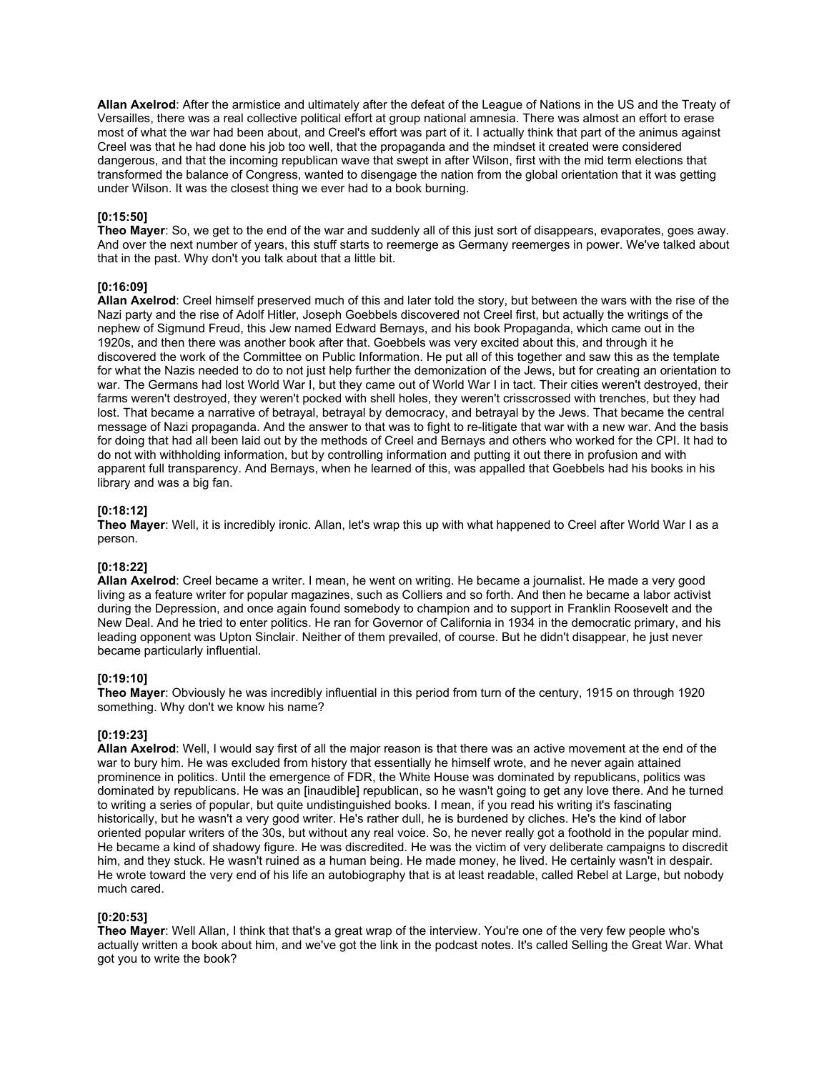**Allan Axelrod**: After the armistice and ultimately after the defeat of the League of Nations in the US and the Treaty of Versailles, there was a real collective political effort at group national amnesia. There was almost an effort to erase most of what the war had been about, and Creel's effort was part of it. I actually think that part of the animus against Creel was that he had done his job too well, that the propaganda and the mindset it created were considered dangerous, and that the incoming republican wave that swept in after Wilson, first with the mid term elections that transformed the balance of Congress, wanted to disengage the nation from the global orientation that it was getting under Wilson. It was the closest thing we ever had to a book burning.

# **[0:15:50]**

**Theo Mayer**: So, we get to the end of the war and suddenly all of this just sort of disappears, evaporates, goes away. And over the next number of years, this stuff starts to reemerge as Germany reemerges in power. We've talked about that in the past. Why don't you talk about that a little bit.

#### **[0:16:09]**

**Allan Axelrod**: Creel himself preserved much of this and later told the story, but between the wars with the rise of the Nazi party and the rise of Adolf Hitler, Joseph Goebbels discovered not Creel first, but actually the writings of the nephew of Sigmund Freud, this Jew named Edward Bernays, and his book Propaganda, which came out in the 1920s, and then there was another book after that. Goebbels was very excited about this, and through it he discovered the work of the Committee on Public Information. He put all of this together and saw this as the template for what the Nazis needed to do to not just help further the demonization of the Jews, but for creating an orientation to war. The Germans had lost World War I, but they came out of World War I in tact. Their cities weren't destroyed, their farms weren't destroyed, they weren't pocked with shell holes, they weren't crisscrossed with trenches, but they had lost. That became a narrative of betrayal, betrayal by democracy, and betrayal by the Jews. That became the central message of Nazi propaganda. And the answer to that was to fight to re-litigate that war with a new war. And the basis for doing that had all been laid out by the methods of Creel and Bernays and others who worked for the CPI. It had to do not with withholding information, but by controlling information and putting it out there in profusion and with apparent full transparency. And Bernays, when he learned of this, was appalled that Goebbels had his books in his library and was a big fan.

#### **[0:18:12]**

**Theo Mayer**: Well, it is incredibly ironic. Allan, let's wrap this up with what happened to Creel after World War I as a person.

# **[0:18:22]**

**Allan Axelrod**: Creel became a writer. I mean, he went on writing. He became a journalist. He made a very good living as a feature writer for popular magazines, such as Colliers and so forth. And then he became a labor activist during the Depression, and once again found somebody to champion and to support in Franklin Roosevelt and the New Deal. And he tried to enter politics. He ran for Governor of California in 1934 in the democratic primary, and his leading opponent was Upton Sinclair. Neither of them prevailed, of course. But he didn't disappear, he just never became particularly influential.

#### **[0:19:10]**

**Theo Mayer**: Obviously he was incredibly influential in this period from turn of the century, 1915 on through 1920 something. Why don't we know his name?

#### **[0:19:23]**

**Allan Axelrod**: Well, I would say first of all the major reason is that there was an active movement at the end of the war to bury him. He was excluded from history that essentially he himself wrote, and he never again attained prominence in politics. Until the emergence of FDR, the White House was dominated by republicans, politics was dominated by republicans. He was an [inaudible] republican, so he wasn't going to get any love there. And he turned to writing a series of popular, but quite undistinguished books. I mean, if you read his writing it's fascinating historically, but he wasn't a very good writer. He's rather dull, he is burdened by cliches. He's the kind of labor oriented popular writers of the 30s, but without any real voice. So, he never really got a foothold in the popular mind. He became a kind of shadowy figure. He was discredited. He was the victim of very deliberate campaigns to discredit him, and they stuck. He wasn't ruined as a human being. He made money, he lived. He certainly wasn't in despair. He wrote toward the very end of his life an autobiography that is at least readable, called Rebel at Large, but nobody much cared.

#### **[0:20:53]**

**Theo Mayer**: Well Allan, I think that that's a great wrap of the interview. You're one of the very few people who's actually written a book about him, and we've got the link in the podcast notes. It's called Selling the Great War. What got you to write the book?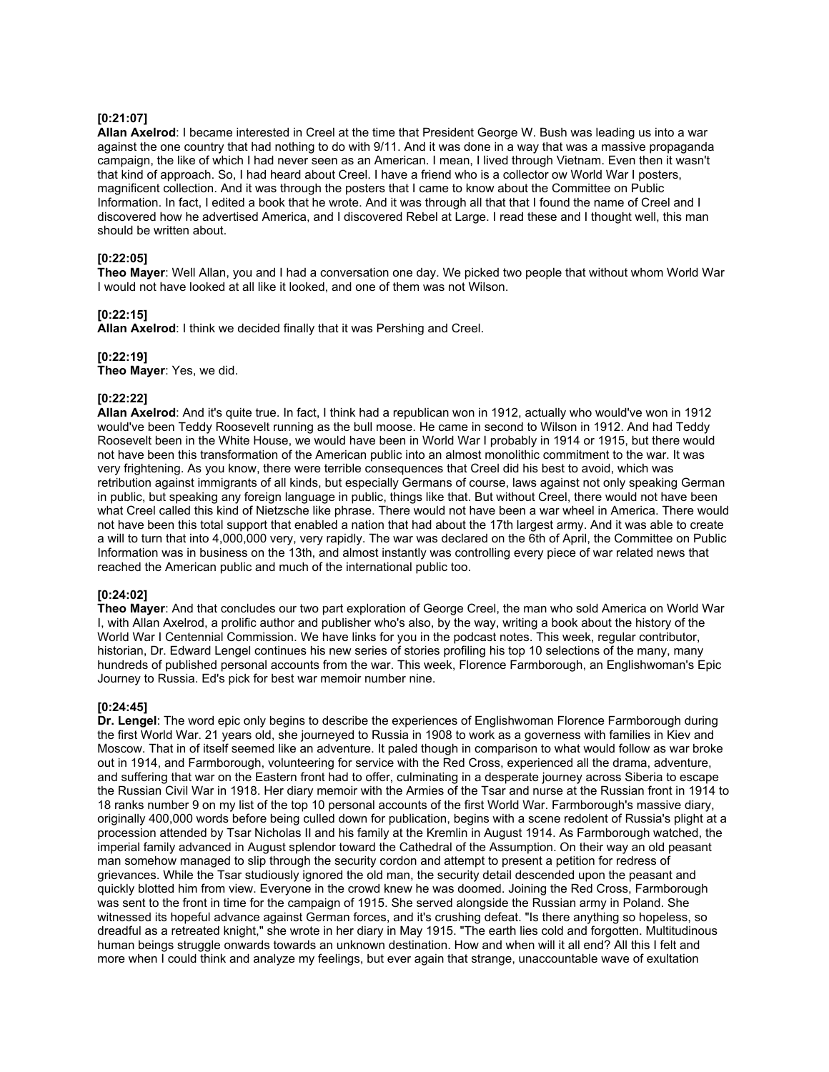# **[0:21:07]**

**Allan Axelrod**: I became interested in Creel at the time that President George W. Bush was leading us into a war against the one country that had nothing to do with 9/11. And it was done in a way that was a massive propaganda campaign, the like of which I had never seen as an American. I mean, I lived through Vietnam. Even then it wasn't that kind of approach. So, I had heard about Creel. I have a friend who is a collector ow World War I posters, magnificent collection. And it was through the posters that I came to know about the Committee on Public Information. In fact, I edited a book that he wrote. And it was through all that that I found the name of Creel and I discovered how he advertised America, and I discovered Rebel at Large. I read these and I thought well, this man should be written about.

# **[0:22:05]**

**Theo Mayer**: Well Allan, you and I had a conversation one day. We picked two people that without whom World War I would not have looked at all like it looked, and one of them was not Wilson.

# **[0:22:15]**

**Allan Axelrod**: I think we decided finally that it was Pershing and Creel.

# **[0:22:19]**

**Theo Mayer**: Yes, we did.

#### **[0:22:22]**

**Allan Axelrod**: And it's quite true. In fact, I think had a republican won in 1912, actually who would've won in 1912 would've been Teddy Roosevelt running as the bull moose. He came in second to Wilson in 1912. And had Teddy Roosevelt been in the White House, we would have been in World War I probably in 1914 or 1915, but there would not have been this transformation of the American public into an almost monolithic commitment to the war. It was very frightening. As you know, there were terrible consequences that Creel did his best to avoid, which was retribution against immigrants of all kinds, but especially Germans of course, laws against not only speaking German in public, but speaking any foreign language in public, things like that. But without Creel, there would not have been what Creel called this kind of Nietzsche like phrase. There would not have been a war wheel in America. There would not have been this total support that enabled a nation that had about the 17th largest army. And it was able to create a will to turn that into 4,000,000 very, very rapidly. The war was declared on the 6th of April, the Committee on Public Information was in business on the 13th, and almost instantly was controlling every piece of war related news that reached the American public and much of the international public too.

#### **[0:24:02]**

**Theo Mayer**: And that concludes our two part exploration of George Creel, the man who sold America on World War I, with Allan Axelrod, a prolific author and publisher who's also, by the way, writing a book about the history of the World War I Centennial Commission. We have links for you in the podcast notes. This week, regular contributor, historian, Dr. Edward Lengel continues his new series of stories profiling his top 10 selections of the many, many hundreds of published personal accounts from the war. This week, Florence Farmborough, an Englishwoman's Epic Journey to Russia. Ed's pick for best war memoir number nine.

# **[0:24:45]**

**Dr. Lengel**: The word epic only begins to describe the experiences of Englishwoman Florence Farmborough during the first World War. 21 years old, she journeyed to Russia in 1908 to work as a governess with families in Kiev and Moscow. That in of itself seemed like an adventure. It paled though in comparison to what would follow as war broke out in 1914, and Farmborough, volunteering for service with the Red Cross, experienced all the drama, adventure, and suffering that war on the Eastern front had to offer, culminating in a desperate journey across Siberia to escape the Russian Civil War in 1918. Her diary memoir with the Armies of the Tsar and nurse at the Russian front in 1914 to 18 ranks number 9 on my list of the top 10 personal accounts of the first World War. Farmborough's massive diary, originally 400,000 words before being culled down for publication, begins with a scene redolent of Russia's plight at a procession attended by Tsar Nicholas II and his family at the Kremlin in August 1914. As Farmborough watched, the imperial family advanced in August splendor toward the Cathedral of the Assumption. On their way an old peasant man somehow managed to slip through the security cordon and attempt to present a petition for redress of grievances. While the Tsar studiously ignored the old man, the security detail descended upon the peasant and quickly blotted him from view. Everyone in the crowd knew he was doomed. Joining the Red Cross, Farmborough was sent to the front in time for the campaign of 1915. She served alongside the Russian army in Poland. She witnessed its hopeful advance against German forces, and it's crushing defeat. "Is there anything so hopeless, so dreadful as a retreated knight," she wrote in her diary in May 1915. "The earth lies cold and forgotten. Multitudinous human beings struggle onwards towards an unknown destination. How and when will it all end? All this I felt and more when I could think and analyze my feelings, but ever again that strange, unaccountable wave of exultation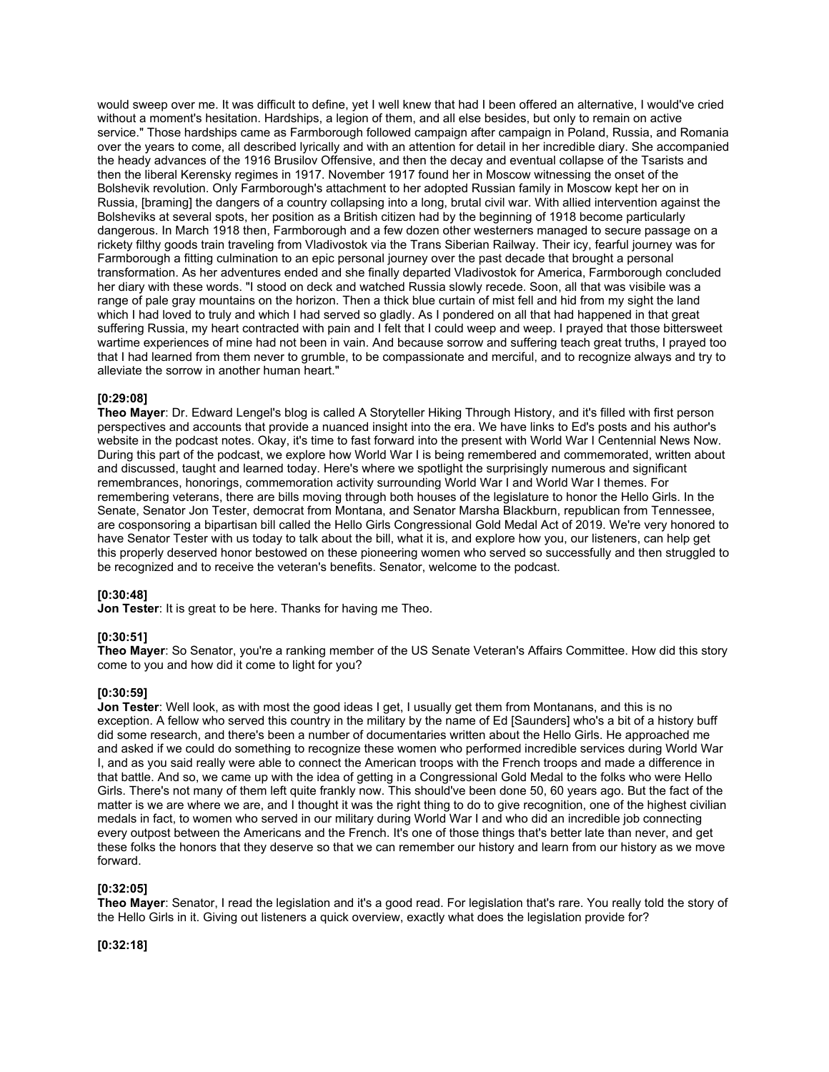would sweep over me. It was difficult to define, yet I well knew that had I been offered an alternative, I would've cried without a moment's hesitation. Hardships, a legion of them, and all else besides, but only to remain on active service." Those hardships came as Farmborough followed campaign after campaign in Poland, Russia, and Romania over the years to come, all described lyrically and with an attention for detail in her incredible diary. She accompanied the heady advances of the 1916 Brusilov Offensive, and then the decay and eventual collapse of the Tsarists and then the liberal Kerensky regimes in 1917. November 1917 found her in Moscow witnessing the onset of the Bolshevik revolution. Only Farmborough's attachment to her adopted Russian family in Moscow kept her on in Russia, [braming] the dangers of a country collapsing into a long, brutal civil war. With allied intervention against the Bolsheviks at several spots, her position as a British citizen had by the beginning of 1918 become particularly dangerous. In March 1918 then, Farmborough and a few dozen other westerners managed to secure passage on a rickety filthy goods train traveling from Vladivostok via the Trans Siberian Railway. Their icy, fearful journey was for Farmborough a fitting culmination to an epic personal journey over the past decade that brought a personal transformation. As her adventures ended and she finally departed Vladivostok for America, Farmborough concluded her diary with these words. "I stood on deck and watched Russia slowly recede. Soon, all that was visibile was a range of pale gray mountains on the horizon. Then a thick blue curtain of mist fell and hid from my sight the land which I had loved to truly and which I had served so gladly. As I pondered on all that had happened in that great suffering Russia, my heart contracted with pain and I felt that I could weep and weep. I prayed that those bittersweet wartime experiences of mine had not been in vain. And because sorrow and suffering teach great truths, I prayed too that I had learned from them never to grumble, to be compassionate and merciful, and to recognize always and try to alleviate the sorrow in another human heart."

#### **[0:29:08]**

**Theo Mayer**: Dr. Edward Lengel's blog is called A Storyteller Hiking Through History, and it's filled with first person perspectives and accounts that provide a nuanced insight into the era. We have links to Ed's posts and his author's website in the podcast notes. Okay, it's time to fast forward into the present with World War I Centennial News Now. During this part of the podcast, we explore how World War I is being remembered and commemorated, written about and discussed, taught and learned today. Here's where we spotlight the surprisingly numerous and significant remembrances, honorings, commemoration activity surrounding World War I and World War I themes. For remembering veterans, there are bills moving through both houses of the legislature to honor the Hello Girls. In the Senate, Senator Jon Tester, democrat from Montana, and Senator Marsha Blackburn, republican from Tennessee, are cosponsoring a bipartisan bill called the Hello Girls Congressional Gold Medal Act of 2019. We're very honored to have Senator Tester with us today to talk about the bill, what it is, and explore how you, our listeners, can help get this properly deserved honor bestowed on these pioneering women who served so successfully and then struggled to be recognized and to receive the veteran's benefits. Senator, welcome to the podcast.

#### **[0:30:48]**

**Jon Tester**: It is great to be here. Thanks for having me Theo.

# **[0:30:51]**

**Theo Mayer**: So Senator, you're a ranking member of the US Senate Veteran's Affairs Committee. How did this story come to you and how did it come to light for you?

#### **[0:30:59]**

**Jon Tester**: Well look, as with most the good ideas I get, I usually get them from Montanans, and this is no exception. A fellow who served this country in the military by the name of Ed [Saunders] who's a bit of a history buff did some research, and there's been a number of documentaries written about the Hello Girls. He approached me and asked if we could do something to recognize these women who performed incredible services during World War I, and as you said really were able to connect the American troops with the French troops and made a difference in that battle. And so, we came up with the idea of getting in a Congressional Gold Medal to the folks who were Hello Girls. There's not many of them left quite frankly now. This should've been done 50, 60 years ago. But the fact of the matter is we are where we are, and I thought it was the right thing to do to give recognition, one of the highest civilian medals in fact, to women who served in our military during World War I and who did an incredible job connecting every outpost between the Americans and the French. It's one of those things that's better late than never, and get these folks the honors that they deserve so that we can remember our history and learn from our history as we move forward.

#### **[0:32:05]**

**Theo Mayer**: Senator, I read the legislation and it's a good read. For legislation that's rare. You really told the story of the Hello Girls in it. Giving out listeners a quick overview, exactly what does the legislation provide for?

**[0:32:18]**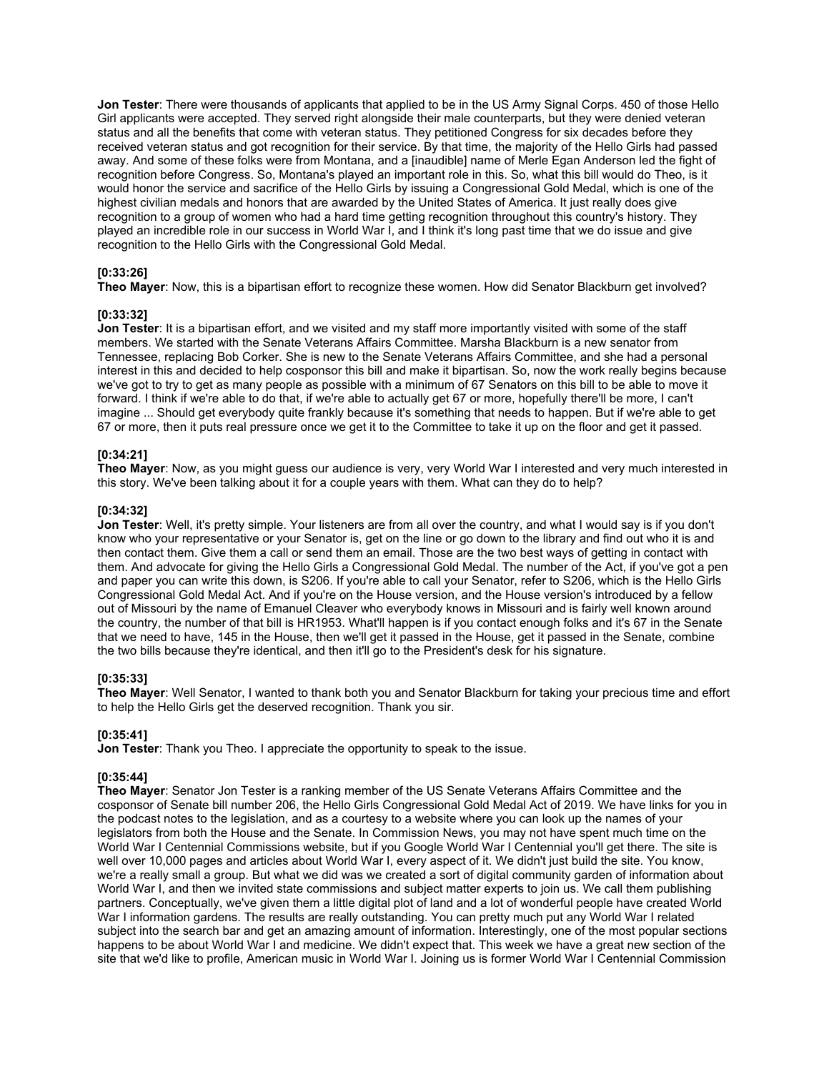**Jon Tester**: There were thousands of applicants that applied to be in the US Army Signal Corps. 450 of those Hello Girl applicants were accepted. They served right alongside their male counterparts, but they were denied veteran status and all the benefits that come with veteran status. They petitioned Congress for six decades before they received veteran status and got recognition for their service. By that time, the majority of the Hello Girls had passed away. And some of these folks were from Montana, and a [inaudible] name of Merle Egan Anderson led the fight of recognition before Congress. So, Montana's played an important role in this. So, what this bill would do Theo, is it would honor the service and sacrifice of the Hello Girls by issuing a Congressional Gold Medal, which is one of the highest civilian medals and honors that are awarded by the United States of America. It just really does give recognition to a group of women who had a hard time getting recognition throughout this country's history. They played an incredible role in our success in World War I, and I think it's long past time that we do issue and give recognition to the Hello Girls with the Congressional Gold Medal.

# **[0:33:26]**

**Theo Mayer**: Now, this is a bipartisan effort to recognize these women. How did Senator Blackburn get involved?

#### **[0:33:32]**

**Jon Tester**: It is a bipartisan effort, and we visited and my staff more importantly visited with some of the staff members. We started with the Senate Veterans Affairs Committee. Marsha Blackburn is a new senator from Tennessee, replacing Bob Corker. She is new to the Senate Veterans Affairs Committee, and she had a personal interest in this and decided to help cosponsor this bill and make it bipartisan. So, now the work really begins because we've got to try to get as many people as possible with a minimum of 67 Senators on this bill to be able to move it forward. I think if we're able to do that, if we're able to actually get 67 or more, hopefully there'll be more, I can't imagine ... Should get everybody quite frankly because it's something that needs to happen. But if we're able to get 67 or more, then it puts real pressure once we get it to the Committee to take it up on the floor and get it passed.

#### **[0:34:21]**

**Theo Mayer**: Now, as you might guess our audience is very, very World War I interested and very much interested in this story. We've been talking about it for a couple years with them. What can they do to help?

#### **[0:34:32]**

**Jon Tester**: Well, it's pretty simple. Your listeners are from all over the country, and what I would say is if you don't know who your representative or your Senator is, get on the line or go down to the library and find out who it is and then contact them. Give them a call or send them an email. Those are the two best ways of getting in contact with them. And advocate for giving the Hello Girls a Congressional Gold Medal. The number of the Act, if you've got a pen and paper you can write this down, is S206. If you're able to call your Senator, refer to S206, which is the Hello Girls Congressional Gold Medal Act. And if you're on the House version, and the House version's introduced by a fellow out of Missouri by the name of Emanuel Cleaver who everybody knows in Missouri and is fairly well known around the country, the number of that bill is HR1953. What'll happen is if you contact enough folks and it's 67 in the Senate that we need to have, 145 in the House, then we'll get it passed in the House, get it passed in the Senate, combine the two bills because they're identical, and then it'll go to the President's desk for his signature.

#### **[0:35:33]**

**Theo Mayer**: Well Senator, I wanted to thank both you and Senator Blackburn for taking your precious time and effort to help the Hello Girls get the deserved recognition. Thank you sir.

#### **[0:35:41]**

**Jon Tester:** Thank you Theo. I appreciate the opportunity to speak to the issue.

# **[0:35:44]**

**Theo Mayer**: Senator Jon Tester is a ranking member of the US Senate Veterans Affairs Committee and the cosponsor of Senate bill number 206, the Hello Girls Congressional Gold Medal Act of 2019. We have links for you in the podcast notes to the legislation, and as a courtesy to a website where you can look up the names of your legislators from both the House and the Senate. In Commission News, you may not have spent much time on the World War I Centennial Commissions website, but if you Google World War I Centennial you'll get there. The site is well over 10,000 pages and articles about World War I, every aspect of it. We didn't just build the site. You know, we're a really small a group. But what we did was we created a sort of digital community garden of information about World War I, and then we invited state commissions and subject matter experts to join us. We call them publishing partners. Conceptually, we've given them a little digital plot of land and a lot of wonderful people have created World War I information gardens. The results are really outstanding. You can pretty much put any World War I related subject into the search bar and get an amazing amount of information. Interestingly, one of the most popular sections happens to be about World War I and medicine. We didn't expect that. This week we have a great new section of the site that we'd like to profile, American music in World War I. Joining us is former World War I Centennial Commission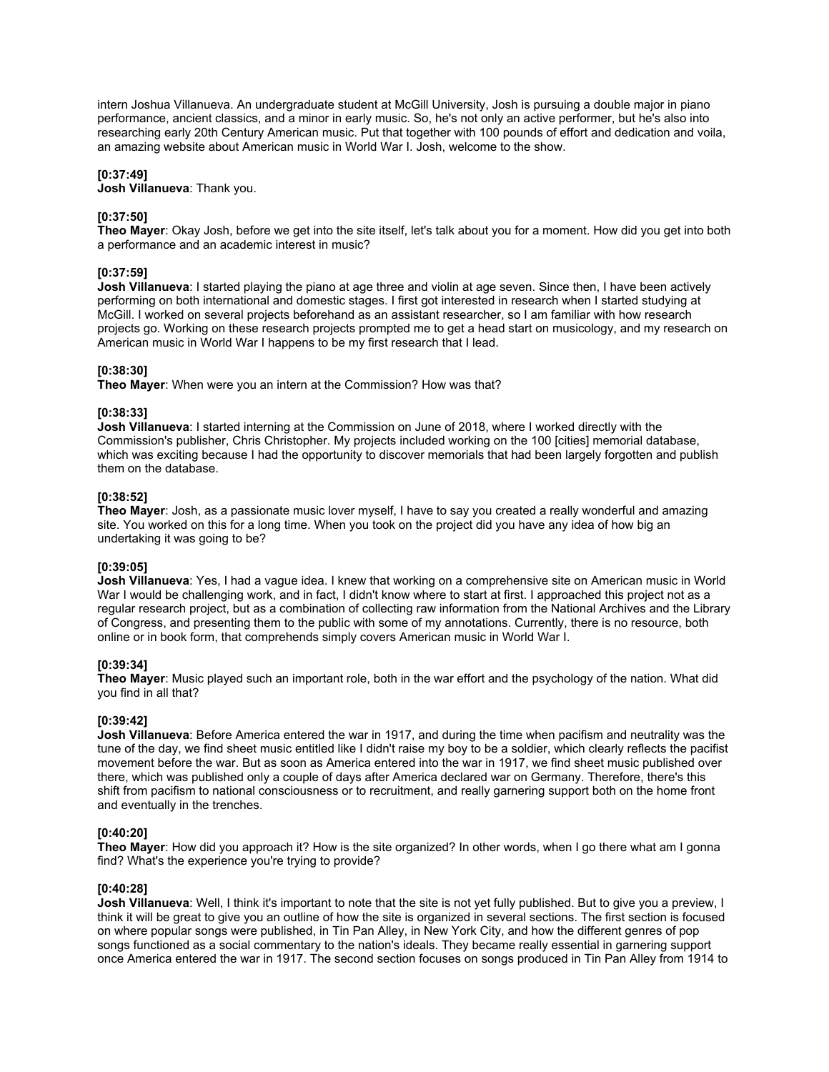intern Joshua Villanueva. An undergraduate student at McGill University, Josh is pursuing a double major in piano performance, ancient classics, and a minor in early music. So, he's not only an active performer, but he's also into researching early 20th Century American music. Put that together with 100 pounds of effort and dedication and voila, an amazing website about American music in World War I. Josh, welcome to the show.

# **[0:37:49]**

**Josh Villanueva**: Thank you.

# **[0:37:50]**

**Theo Mayer**: Okay Josh, before we get into the site itself, let's talk about you for a moment. How did you get into both a performance and an academic interest in music?

# **[0:37:59]**

**Josh Villanueva**: I started playing the piano at age three and violin at age seven. Since then, I have been actively performing on both international and domestic stages. I first got interested in research when I started studying at McGill. I worked on several projects beforehand as an assistant researcher, so I am familiar with how research projects go. Working on these research projects prompted me to get a head start on musicology, and my research on American music in World War I happens to be my first research that I lead.

# **[0:38:30]**

**Theo Mayer**: When were you an intern at the Commission? How was that?

# **[0:38:33]**

**Josh Villanueva**: I started interning at the Commission on June of 2018, where I worked directly with the Commission's publisher, Chris Christopher. My projects included working on the 100 [cities] memorial database, which was exciting because I had the opportunity to discover memorials that had been largely forgotten and publish them on the database.

# **[0:38:52]**

**Theo Mayer**: Josh, as a passionate music lover myself, I have to say you created a really wonderful and amazing site. You worked on this for a long time. When you took on the project did you have any idea of how big an undertaking it was going to be?

#### **[0:39:05]**

**Josh Villanueva**: Yes, I had a vague idea. I knew that working on a comprehensive site on American music in World War I would be challenging work, and in fact, I didn't know where to start at first. I approached this project not as a regular research project, but as a combination of collecting raw information from the National Archives and the Library of Congress, and presenting them to the public with some of my annotations. Currently, there is no resource, both online or in book form, that comprehends simply covers American music in World War I.

# **[0:39:34]**

**Theo Mayer**: Music played such an important role, both in the war effort and the psychology of the nation. What did you find in all that?

# **[0:39:42]**

**Josh Villanueva**: Before America entered the war in 1917, and during the time when pacifism and neutrality was the tune of the day, we find sheet music entitled like I didn't raise my boy to be a soldier, which clearly reflects the pacifist movement before the war. But as soon as America entered into the war in 1917, we find sheet music published over there, which was published only a couple of days after America declared war on Germany. Therefore, there's this shift from pacifism to national consciousness or to recruitment, and really garnering support both on the home front and eventually in the trenches.

# **[0:40:20]**

**Theo Mayer**: How did you approach it? How is the site organized? In other words, when I go there what am I gonna find? What's the experience you're trying to provide?

#### **[0:40:28]**

**Josh Villanueva**: Well, I think it's important to note that the site is not yet fully published. But to give you a preview, I think it will be great to give you an outline of how the site is organized in several sections. The first section is focused on where popular songs were published, in Tin Pan Alley, in New York City, and how the different genres of pop songs functioned as a social commentary to the nation's ideals. They became really essential in garnering support once America entered the war in 1917. The second section focuses on songs produced in Tin Pan Alley from 1914 to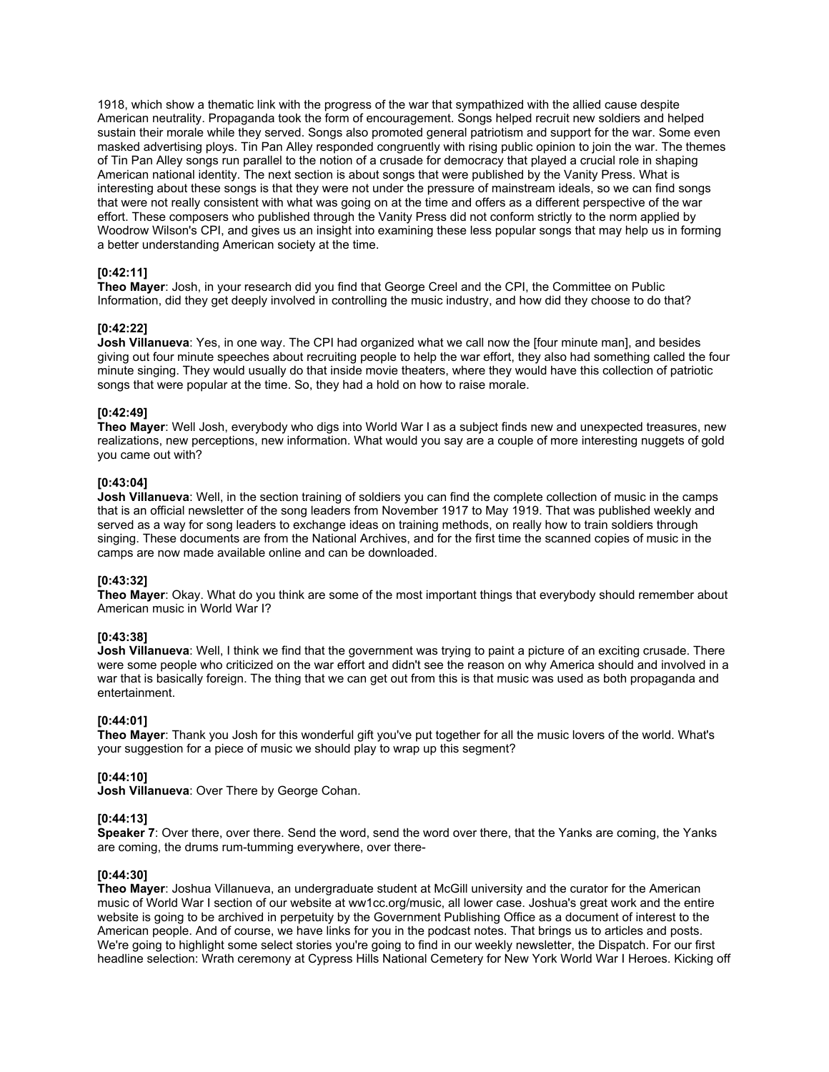1918, which show a thematic link with the progress of the war that sympathized with the allied cause despite American neutrality. Propaganda took the form of encouragement. Songs helped recruit new soldiers and helped sustain their morale while they served. Songs also promoted general patriotism and support for the war. Some even masked advertising ploys. Tin Pan Alley responded congruently with rising public opinion to join the war. The themes of Tin Pan Alley songs run parallel to the notion of a crusade for democracy that played a crucial role in shaping American national identity. The next section is about songs that were published by the Vanity Press. What is interesting about these songs is that they were not under the pressure of mainstream ideals, so we can find songs that were not really consistent with what was going on at the time and offers as a different perspective of the war effort. These composers who published through the Vanity Press did not conform strictly to the norm applied by Woodrow Wilson's CPI, and gives us an insight into examining these less popular songs that may help us in forming a better understanding American society at the time.

# **[0:42:11]**

**Theo Mayer**: Josh, in your research did you find that George Creel and the CPI, the Committee on Public Information, did they get deeply involved in controlling the music industry, and how did they choose to do that?

#### **[0:42:22]**

**Josh Villanueva**: Yes, in one way. The CPI had organized what we call now the [four minute man], and besides giving out four minute speeches about recruiting people to help the war effort, they also had something called the four minute singing. They would usually do that inside movie theaters, where they would have this collection of patriotic songs that were popular at the time. So, they had a hold on how to raise morale.

### **[0:42:49]**

**Theo Mayer**: Well Josh, everybody who digs into World War I as a subject finds new and unexpected treasures, new realizations, new perceptions, new information. What would you say are a couple of more interesting nuggets of gold you came out with?

#### **[0:43:04]**

**Josh Villanueva**: Well, in the section training of soldiers you can find the complete collection of music in the camps that is an official newsletter of the song leaders from November 1917 to May 1919. That was published weekly and served as a way for song leaders to exchange ideas on training methods, on really how to train soldiers through singing. These documents are from the National Archives, and for the first time the scanned copies of music in the camps are now made available online and can be downloaded.

#### **[0:43:32]**

**Theo Mayer**: Okay. What do you think are some of the most important things that everybody should remember about American music in World War I?

# **[0:43:38]**

**Josh Villanueva**: Well, I think we find that the government was trying to paint a picture of an exciting crusade. There were some people who criticized on the war effort and didn't see the reason on why America should and involved in a war that is basically foreign. The thing that we can get out from this is that music was used as both propaganda and entertainment.

# **[0:44:01]**

**Theo Mayer**: Thank you Josh for this wonderful gift you've put together for all the music lovers of the world. What's your suggestion for a piece of music we should play to wrap up this segment?

#### **[0:44:10]**

**Josh Villanueva**: Over There by George Cohan.

#### **[0:44:13]**

**Speaker 7:** Over there, over there. Send the word, send the word over there, that the Yanks are coming, the Yanks are coming, the drums rum-tumming everywhere, over there-

#### **[0:44:30]**

**Theo Mayer**: Joshua Villanueva, an undergraduate student at McGill university and the curator for the American music of World War I section of our website at ww1cc.org/music, all lower case. Joshua's great work and the entire website is going to be archived in perpetuity by the Government Publishing Office as a document of interest to the American people. And of course, we have links for you in the podcast notes. That brings us to articles and posts. We're going to highlight some select stories you're going to find in our weekly newsletter, the Dispatch. For our first headline selection: Wrath ceremony at Cypress Hills National Cemetery for New York World War I Heroes. Kicking off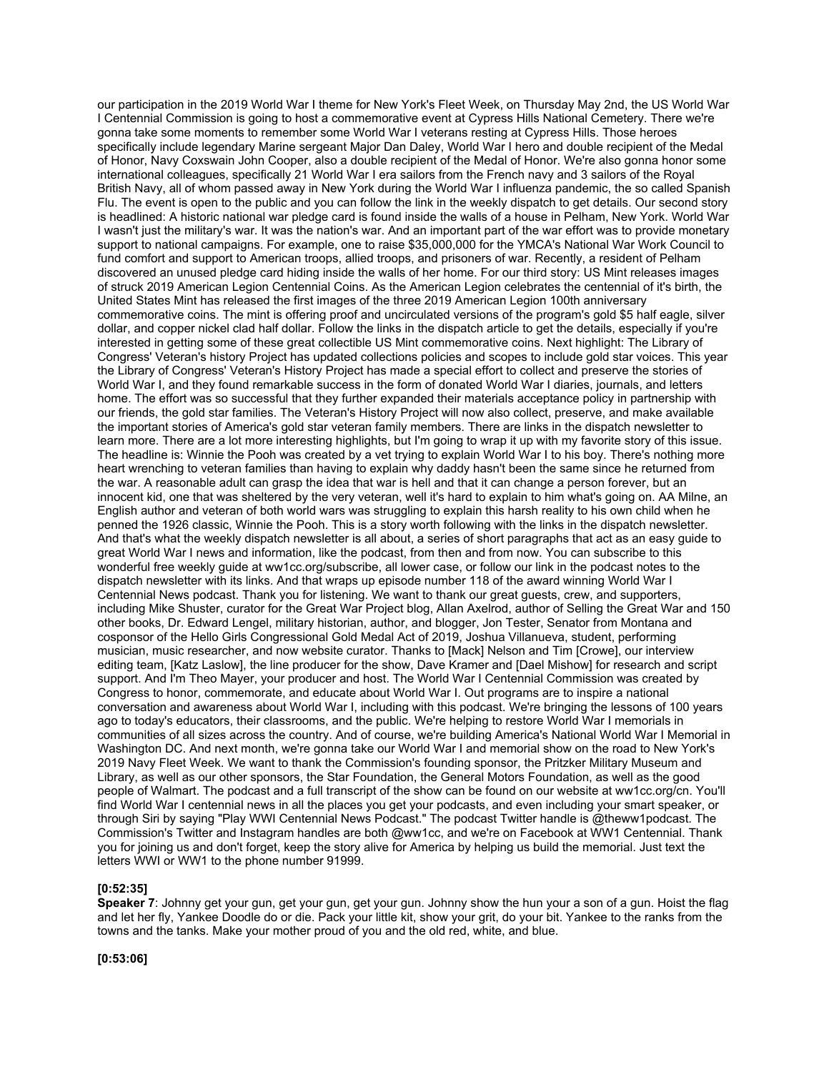our participation in the 2019 World War I theme for New York's Fleet Week, on Thursday May 2nd, the US World War I Centennial Commission is going to host a commemorative event at Cypress Hills National Cemetery. There we're gonna take some moments to remember some World War I veterans resting at Cypress Hills. Those heroes specifically include legendary Marine sergeant Major Dan Daley, World War I hero and double recipient of the Medal of Honor, Navy Coxswain John Cooper, also a double recipient of the Medal of Honor. We're also gonna honor some international colleagues, specifically 21 World War I era sailors from the French navy and 3 sailors of the Royal British Navy, all of whom passed away in New York during the World War I influenza pandemic, the so called Spanish Flu. The event is open to the public and you can follow the link in the weekly dispatch to get details. Our second story is headlined: A historic national war pledge card is found inside the walls of a house in Pelham, New York. World War I wasn't just the military's war. It was the nation's war. And an important part of the war effort was to provide monetary support to national campaigns. For example, one to raise \$35,000,000 for the YMCA's National War Work Council to fund comfort and support to American troops, allied troops, and prisoners of war. Recently, a resident of Pelham discovered an unused pledge card hiding inside the walls of her home. For our third story: US Mint releases images of struck 2019 American Legion Centennial Coins. As the American Legion celebrates the centennial of it's birth, the United States Mint has released the first images of the three 2019 American Legion 100th anniversary commemorative coins. The mint is offering proof and uncirculated versions of the program's gold \$5 half eagle, silver dollar, and copper nickel clad half dollar. Follow the links in the dispatch article to get the details, especially if you're interested in getting some of these great collectible US Mint commemorative coins. Next highlight: The Library of Congress' Veteran's history Project has updated collections policies and scopes to include gold star voices. This year the Library of Congress' Veteran's History Project has made a special effort to collect and preserve the stories of World War I, and they found remarkable success in the form of donated World War I diaries, journals, and letters home. The effort was so successful that they further expanded their materials acceptance policy in partnership with our friends, the gold star families. The Veteran's History Project will now also collect, preserve, and make available the important stories of America's gold star veteran family members. There are links in the dispatch newsletter to learn more. There are a lot more interesting highlights, but I'm going to wrap it up with my favorite story of this issue. The headline is: Winnie the Pooh was created by a vet trying to explain World War I to his boy. There's nothing more heart wrenching to veteran families than having to explain why daddy hasn't been the same since he returned from the war. A reasonable adult can grasp the idea that war is hell and that it can change a person forever, but an innocent kid, one that was sheltered by the very veteran, well it's hard to explain to him what's going on. AA Milne, an English author and veteran of both world wars was struggling to explain this harsh reality to his own child when he penned the 1926 classic, Winnie the Pooh. This is a story worth following with the links in the dispatch newsletter. And that's what the weekly dispatch newsletter is all about, a series of short paragraphs that act as an easy guide to great World War I news and information, like the podcast, from then and from now. You can subscribe to this wonderful free weekly guide at ww1cc.org/subscribe, all lower case, or follow our link in the podcast notes to the dispatch newsletter with its links. And that wraps up episode number 118 of the award winning World War I Centennial News podcast. Thank you for listening. We want to thank our great guests, crew, and supporters, including Mike Shuster, curator for the Great War Project blog, Allan Axelrod, author of Selling the Great War and 150 other books, Dr. Edward Lengel, military historian, author, and blogger, Jon Tester, Senator from Montana and cosponsor of the Hello Girls Congressional Gold Medal Act of 2019, Joshua Villanueva, student, performing musician, music researcher, and now website curator. Thanks to [Mack] Nelson and Tim [Crowe], our interview editing team, [Katz Laslow], the line producer for the show, Dave Kramer and [Dael Mishow] for research and script support. And I'm Theo Mayer, your producer and host. The World War I Centennial Commission was created by Congress to honor, commemorate, and educate about World War I. Out programs are to inspire a national conversation and awareness about World War I, including with this podcast. We're bringing the lessons of 100 years ago to today's educators, their classrooms, and the public. We're helping to restore World War I memorials in communities of all sizes across the country. And of course, we're building America's National World War I Memorial in Washington DC. And next month, we're gonna take our World War I and memorial show on the road to New York's 2019 Navy Fleet Week. We want to thank the Commission's founding sponsor, the Pritzker Military Museum and Library, as well as our other sponsors, the Star Foundation, the General Motors Foundation, as well as the good people of Walmart. The podcast and a full transcript of the show can be found on our website at ww1cc.org/cn. You'll find World War I centennial news in all the places you get your podcasts, and even including your smart speaker, or through Siri by saying "Play WWI Centennial News Podcast." The podcast Twitter handle is @theww1podcast. The Commission's Twitter and Instagram handles are both @ww1cc, and we're on Facebook at WW1 Centennial. Thank you for joining us and don't forget, keep the story alive for America by helping us build the memorial. Just text the letters WWI or WW1 to the phone number 91999.

#### **[0:52:35]**

**Speaker 7**: Johnny get your gun, get your gun, get your gun. Johnny show the hun your a son of a gun. Hoist the flag and let her fly, Yankee Doodle do or die. Pack your little kit, show your grit, do your bit. Yankee to the ranks from the towns and the tanks. Make your mother proud of you and the old red, white, and blue.